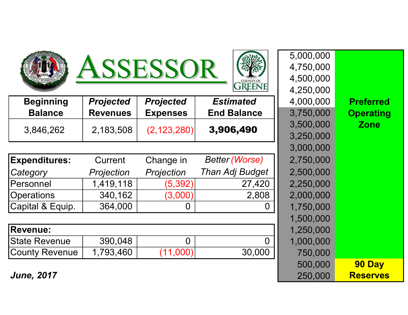





| <b>Beginning</b> | <b>Projected</b> | <b>Projected</b> | <b>Estimated</b>   | 4,000,000              | <b>Preferred</b> |
|------------------|------------------|------------------|--------------------|------------------------|------------------|
| <b>Balance</b>   | <b>Revenues</b>  | <b>Expenses</b>  | <b>End Balance</b> | 3,750,000              | <b>Operating</b> |
| 3,846,262        | 2,183,508        | (2, 123, 280)    | 3,906,490          | 3,500,000<br>3,250,000 | Zone             |

| <b>Expenditures:</b>  | <b>Current</b> | Change in  | <b>Better (Worse)</b> | 2,750,000 |
|-----------------------|----------------|------------|-----------------------|-----------|
| Category              | Projection     | Projection | Than Adj Budget       | 2,500,000 |
| <b>Personnel</b>      | 1,419,118      | (5, 392)   | 27,420                | 2,250,000 |
| <b>Operations</b>     | 340,162        | (3,000)    | 2,808                 | 2,000,000 |
| Capital & Equip.      | 364,000        |            | 0                     | 1,750,000 |
|                       |                |            |                       | 1,500,000 |
| <b>Revenue:</b>       |                |            |                       | 1,250,000 |
| <b>State Revenue</b>  | 390,048        | O          | $\overline{0}$        | 1,000,000 |
| <b>County Revenue</b> | 1,793,460      | (11,000)   | 30,000                | 750,000   |

5,000,000 4,750,000 4,500,000 4,250,000 3,500,000 Zone 3,250,000 3,000,000  $2,750,000$  $2,500,000$ Operations 340,162 (3,000) 2,808 2,000,000 1,750,000 1,500,000 Revenue: 1,250,000 1,000,000 500,000 **90 Day** June, 2017 250,000 Reserves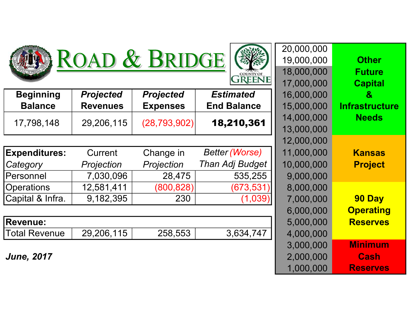





| <b>Beginning</b>     | <b>Projected</b> | <b>Projected</b> | <b>Estimated</b>      | 16,000,000 | $\mathbf{g}$          |
|----------------------|------------------|------------------|-----------------------|------------|-----------------------|
| <b>Balance</b>       | <b>Revenues</b>  | <b>Expenses</b>  | <b>End Balance</b>    | 15,000,000 | <b>Infrastructure</b> |
| 17,798,148           | 29,206,115       | (28, 793, 902)   | 18,210,361            | 14,000,000 | <b>Needs</b>          |
|                      |                  |                  |                       | 13,000,000 |                       |
|                      |                  |                  |                       | 12,000,000 |                       |
| <b>Expenditures:</b> | Current          | Change in        | <b>Better (Worse)</b> | 11,000,000 | <b>Kansas</b>         |
| Category             | Projection       | Projection       | Than Adj Budget       | 10,000,000 | <b>Project</b>        |
| Personnel            | 7,030,096        | 28,475           | 535,255               | 9,000,000  |                       |
| <b>Operations</b>    | 12,581,411       | (800, 828)       | (673, 531)            | 8,000,000  |                       |
| Capital & Infra.     | 9,182,395        | 230              | (1,039)               | 7,000,000  | 90 Day                |
|                      |                  |                  |                       |            |                       |

| <b>Revenue:</b> |                       |         |           | 5,000,000 | <b>Reserves</b> |
|-----------------|-----------------------|---------|-----------|-----------|-----------------|
| 'Total Revenue  | 115<br>29,206,<br>1 U | 258,553 | 3,634,747 | 1,000,000 |                 |

June, 2017

| 20,000,000 |                  |
|------------|------------------|
| 19,000,000 | <b>Other</b>     |
| 18,000,000 | Future           |
| 17,000,000 | <b>Capital</b>   |
| 16,000,000 | $\mathbf{g}$     |
| 15,000,000 | Infrastructure   |
| 14,000,000 | <b>Needs</b>     |
| 13,000,000 |                  |
| 12,000,000 |                  |
| 11,000,000 | <b>Kansas</b>    |
| 10,000,000 | <b>Project</b>   |
| 9,000,000  |                  |
| 8,000,000  |                  |
| 7,000,000  | 90 Day           |
| 6,000,000  | <b>Operating</b> |
| 5,000,000  | <b>Reserves</b>  |
| 4,000,000  |                  |
| 3,000,000  | <b>Minimum</b>   |
| 2,000,000  | Cash             |
| 1,000,000  | <b>Reserves</b>  |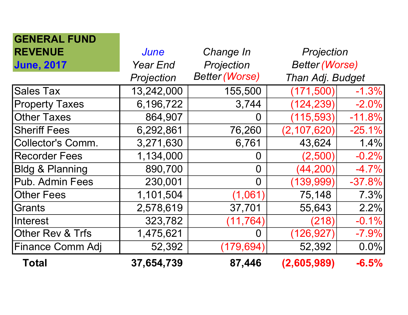| <b>GENERAL FUND</b>        |                 |                       |                       |          |
|----------------------------|-----------------|-----------------------|-----------------------|----------|
| <b>REVENUE</b>             | <b>June</b>     | Change In             | Projection            |          |
| <b>June, 2017</b>          | <b>Year End</b> | Projection            | <b>Better (Worse)</b> |          |
|                            | Projection      | <b>Better (Worse)</b> | Than Adj. Budget      |          |
| <b>Sales Tax</b>           | 13,242,000      | 155,500               | (171, 500)            | $-1.3%$  |
| <b>Property Taxes</b>      | 6,196,722       | 3,744                 | (124, 239)            | $-2.0%$  |
| <b>Other Taxes</b>         | 864,907         | O                     | (115, 593)            | $-11.8%$ |
| <b>Sheriff Fees</b>        | 6,292,861       | 76,260                | (2, 107, 620)         | $-25.1%$ |
| <b>Collector's Comm.</b>   | 3,271,630       | 6,761                 | 43,624                | 1.4%     |
| <b>Recorder Fees</b>       | 1,134,000       | 0                     | (2,500)               | $-0.2%$  |
| <b>Bldg &amp; Planning</b> | 890,700         | $\Omega$              | (44, 200)             | $-4.7%$  |
| Pub. Admin Fees            | 230,001         | $\Omega$              | (139,999              | $-37.8%$ |
| <b>Other Fees</b>          | 1,101,504       | (1,061)               | 75,148                | 7.3%     |
| Grants                     | 2,578,619       | 37,701                | 55,643                | 2.2%     |
| Interest                   | 323,782         | (11, 764)             | (218)                 | $-0.1%$  |
| Other Rev & Trfs           | 1,475,621       | O                     | (126, 927)            | $-7.9%$  |
| Finance Comm Adj           | 52,392          | (179, 694)            | 52,392                | $0.0\%$  |
| <b>Total</b>               | 37,654,739      | 87,446                | (2,605,989)           | $-6.5%$  |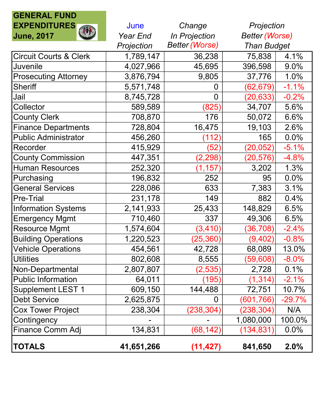## GENERAL FUND EXPENDITURES June Change June, 2017 **Year End** In Projection Projection Better (Worse) Circuit Courts & Clerk | 1,789,147 | 36,238 | 75,838 | 4.1% Juvenile 4,027,966 45,695 396,598 9.0% Prosecuting Attorney 3,876,794 9,805 37,776 1.0% Sheriff 5,571,748 0 (62,679) -1.1% Jail 8,745,728 0 (20,633) -0.2% Collector 589,589 (825) 34,707 5.6% County Clerk 176 | 708,870 | 708,870 | 50,072 | 6.6% Finance Departments | 728,804 | 16,475 | 19,103 | 2.6% Public Administrator  $\vert$  456,260  $\vert$  (112) 165 0.0% Recorder 415,929 (52) (20,052) -5.1% County Commission 447,351 (2,298) (20,576) -4.8% Human Resources 100 252,320 (1,157) 3,202 1.3% Purchasing 196,832 252 95 0.0% General Services (228,086 633 7,383 3.1%) Pre-Trial 231,178 149 882 0.4% Information Systems  $\vert$  2,141,933  $\vert$  25,433  $\vert$  148,829 6.5% Emergency Mgmt | 710,460 | 337 | 49,306 6.5% Resource Mgmt 1,574,604 (3,410) (36,708) -2.4% Building Operations (25,360) (9,402) -0.8% Vehicle Operations (1994) 454,561 42,728 68,089 13.0% Utilities 802,608 8,555 (59,608) -8.0% Non-Departmental 2,807,807 (2,535) 2,728 0.1%<br>Public Information 64,011 (195) (1,314) -2.1% Public Information  $\begin{vmatrix} 64,011 & (195) \end{vmatrix}$  (1,314) Supplement LEST 1  $\vert$  609,150 | 144,488 | 72,751 | 10.7% 0 (601,766) -29.7% 2,625,875 0 (601,766) -29.7% ص (601,766) -29.7% 238,304 (238,304) -29.7% Cox Tower Project 238,304 (238,304) (238,304) N/A Contingency 1,080,000 | 100.0% Finance Comm Adj  $\left| \right|$  134,831 (68,142) (134,831) 0.0% Projection Better (Worse) Than Budget

TOTALS 41,651,266 (11,427) 841,650 2.0%